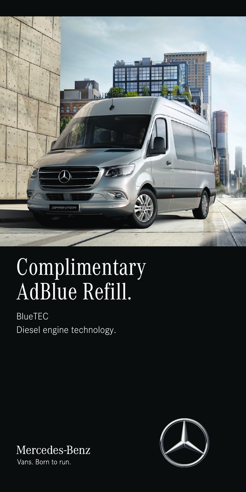

# Complimentary AdBlue Refill.

BlueTEC Diesel engine technology.



Vans. Born to run.

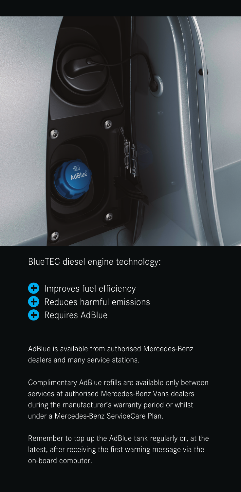

BlueTEC diesel engine technology:

**C** Improves fuel efficiency **C** Reduces harmful emissions **C** Requires AdBlue

AdBlue is available from authorised Mercedes-Benz dealers and many service stations.

Complimentary AdBlue refills are available only between services at authorised Mercedes-Benz Vans dealers during the manufacturer's warranty period or whilst under a Mercedes-Benz ServiceCare Plan.

Remember to top up the AdBlue tank regularly or, at the latest, after receiving the first warning message via the on-board computer.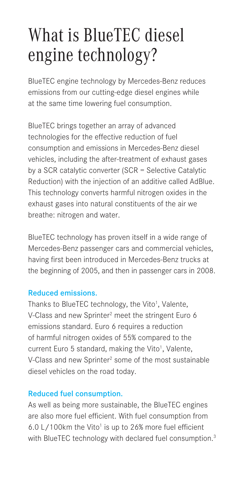### What is BlueTEC diesel engine technology?

BlueTEC engine technology by Mercedes-Benz reduces emissions from our cutting-edge diesel engines while at the same time lowering fuel consumption.

BlueTEC brings together an array of advanced technologies for the effective reduction of fuel consumption and emissions in Mercedes-Benz diesel vehicles, including the after-treatment of exhaust gases by a SCR catalytic converter (SCR = Selective Catalytic Reduction) with the injection of an additive called AdBlue. This technology converts harmful nitrogen oxides in the exhaust gases into natural constituents of the air we breathe: nitrogen and water.

BlueTEC technology has proven itself in a wide range of Mercedes-Benz passenger cars and commercial vehicles, having first been introduced in Mercedes-Benz trucks at the beginning of 2005, and then in passenger cars in 2008.

#### Reduced emissions.

Thanks to BlueTEC technology, the Vito<sup>1</sup>, Valente, V-Class and new Sprinter<sup>2</sup> meet the stringent Euro 6 emissions standard. Euro 6 requires a reduction of harmful nitrogen oxides of 55% compared to the current Euro 5 standard, making the Vito<sup>1</sup>, Valente, V-Class and new Sprinter<sup>2</sup> some of the most sustainable diesel vehicles on the road today.

#### Reduced fuel consumption.

As well as being more sustainable, the BlueTEC engines are also more fuel efficient. With fuel consumption from 6.0 L/100km the Vito<sup>1</sup> is up to 26% more fuel efficient with BlueTEC technology with declared fuel consumption.<sup>3</sup>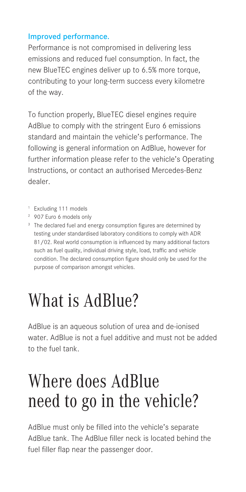#### Improved performance.

Performance is not compromised in delivering less emissions and reduced fuel consumption. In fact, the new BlueTEC engines deliver up to 6.5% more torque, contributing to your long-term success every kilometre of the way.

To function properly, BlueTEC diesel engines require AdBlue to comply with the stringent Euro 6 emissions standard and maintain the vehicle's performance. The following is general information on AdBlue, however for further information please refer to the vehicle's Operating Instructions, or contact an authorised Mercedes-Benz dealer.

- 1 Excluding 111 models
- 2 907 Euro 6 models only
- <sup>3</sup> The declared fuel and energy consumption figures are determined by testing under standardised laboratory conditions to comply with ADR 81/02. Real world consumption is influenced by many additional factors such as fuel quality, individual driving style, load, traffic and vehicle condition. The declared consumption figure should only be used for the purpose of comparison amongst vehicles.

### What is AdBlue?

AdBlue is an aqueous solution of urea and de-ionised water. AdBlue is not a fuel additive and must not be added to the fuel tank.

### Where does AdBlue need to go in the vehicle?

AdBlue must only be filled into the vehicle's separate AdBlue tank. The AdBlue filler neck is located behind the fuel filler flap near the passenger door.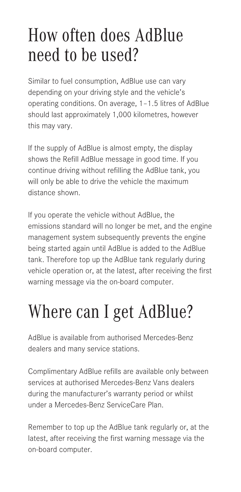### How often does AdBlue need to be used?

Similar to fuel consumption, AdBlue use can vary depending on your driving style and the vehicle's operating conditions. On average, 1–1.5 litres of AdBlue should last approximately 1,000 kilometres, however this may vary.

If the supply of AdBlue is almost empty, the display shows the Refill AdBlue message in good time. If you continue driving without refilling the AdBlue tank, you will only be able to drive the vehicle the maximum distance shown.

If you operate the vehicle without AdBlue, the emissions standard will no longer be met, and the engine management system subsequently prevents the engine being started again until AdBlue is added to the AdBlue tank. Therefore top up the AdBlue tank regularly during vehicle operation or, at the latest, after receiving the first warning message via the on-board computer.

## Where can I get AdBlue?

AdBlue is available from authorised Mercedes-Benz dealers and many service stations.

Complimentary AdBlue refills are available only between services at authorised Mercedes-Benz Vans dealers during the manufacturer's warranty period or whilst under a Mercedes-Benz ServiceCare Plan.

Remember to top up the AdBlue tank regularly or, at the latest, after receiving the first warning message via the on-board computer.